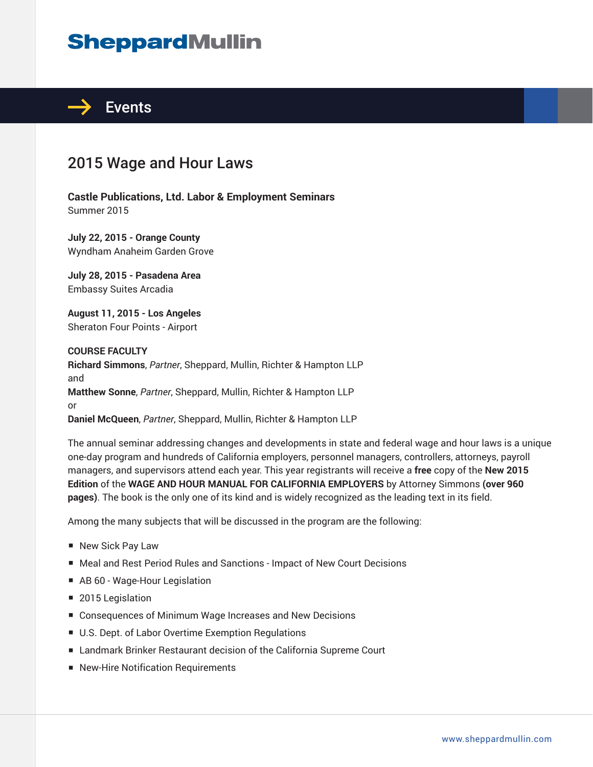# **SheppardMullin**



### 2015 Wage and Hour Laws

**Castle Publications, Ltd. Labor & Employment Seminars** Summer 2015

**July 22, 2015 - Orange County** Wyndham Anaheim Garden Grove

**July 28, 2015 - Pasadena Area** Embassy Suites Arcadia

**August 11, 2015 - Los Angeles** Sheraton Four Points - Airport

**COURSE FACULTY Richard Simmons**, *Partner*, Sheppard, Mullin, Richter & Hampton LLP and **Matthew Sonne**, *Partner*, Sheppard, Mullin, Richter & Hampton LLP or **Daniel McQueen**, *Partner*, Sheppard, Mullin, Richter & Hampton LLP

The annual seminar addressing changes and developments in state and federal wage and hour laws is a unique one-day program and hundreds of California employers, personnel managers, controllers, attorneys, payroll managers, and supervisors attend each year. This year registrants will receive a **free** copy of the **New 2015 Edition** of the **WAGE AND HOUR MANUAL FOR CALIFORNIA EMPLOYERS** by Attorney Simmons **(over 960 pages)**. The book is the only one of its kind and is widely recognized as the leading text in its field.

Among the many subjects that will be discussed in the program are the following:

- New Sick Pay Law
- Meal and Rest Period Rules and Sanctions Impact of New Court Decisions
- AB 60 Wage-Hour Legislation
- 2015 Legislation
- Consequences of Minimum Wage Increases and New Decisions
- U.S. Dept. of Labor Overtime Exemption Regulations
- Landmark Brinker Restaurant decision of the California Supreme Court
- New-Hire Notification Requirements